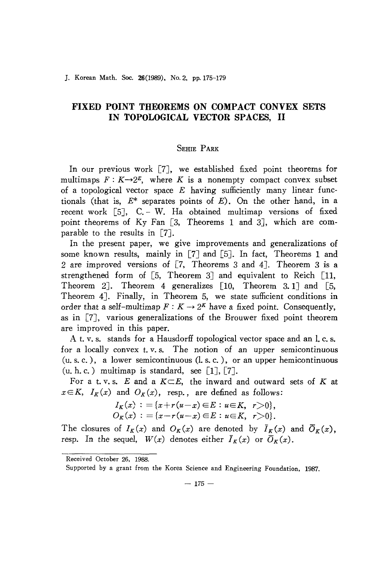## **FIXED POINT THEOREMS ON COMPACT CONVEX SETS IN TOPOLOGICAL VECTOR SPACES, II**

## SEHIE PARK

In our previous work [7], we established fixed point theorems for multimaps  $F: K \rightarrow 2^E$ , where *K* is a nonempty compact convex subset of a topological vector space  $E$  having sufficiently many linear functionals (that is, *E\** separates points of *E).* On the other hand, in a recent work  $\lceil 5 \rceil$ , C. – W. Ha obtained multimap versions of fixed point theorems of Ky Fan [3, Theorems 1 and 3], which are comparable to the results in [7].

In the present paper, we give improvements and generalizations of some known results, mainly in  $\lceil 7 \rceil$  and  $\lceil 5 \rceil$ . In fact, Theorems 1 and 2 are improved versions of [7, Theorems 3 and 4]. Theorem 3 is a strengthened form of  $[5,$  Theorem 3] and equivalent to Reich  $[11,$ Theorem 2]. Theorem 4 generalizes  $[10,$  Theorem 3.1] and  $[5,$ Theorem 4J. Finally, in Theorem 5, we state sufficient conditions in order that a self-multimap  $F: K \to 2^K$  have a fixed point. Consequently, as in [7J, various generalizations of the Brouwer fixed point theorem are improved in this paper.

A t. v. s. stands for a Hausdorff topological vector space and an l. c. s. for a locally convex t.v.s. The notion of an upper semicontinuous *(u.* s. c. ), a lower semicontinuous (1. s. c. ), or an upper hemicontinuous  $(u, h, c.)$  multimap is standard, see [1], [7].

For a t. v. s.  $E$  and a  $K \subset E$ , the inward and outward sets of  $K$  at  $x \in K$ ,  $I_K(x)$  and  $O_K(x)$ , resp., are defined as follows:

$$
I_K(x) := \{x+r(u-x) \in E : u \in K, r>0\},\,
$$
  
\n
$$
O_K(x) := \{x-r(u-x) \in E : u \in K, r>0\}.
$$

The closures of  $I_K(x)$  and  $O_K(x)$  are denoted by  $\overline{I}_K(x)$  and  $\overline{O}_K(x)$ , resp. In the sequel,  $W(x)$  denotes either  $\bar{I}_K(x)$  or  $\bar{O}_K(x)$ .

Received October 26, 1988.

Supported by a grant from the Korea Science and Engineering Foundation. 1987.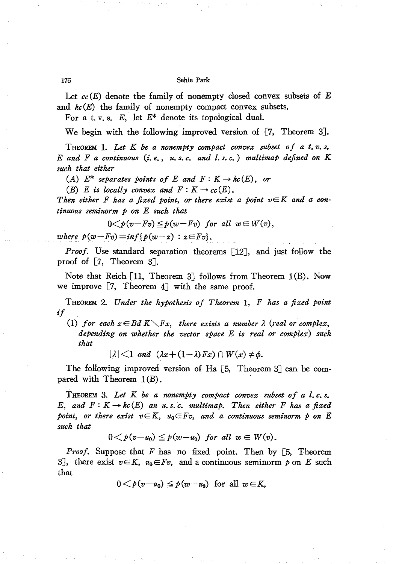## 176 Sehie Park

Let *cc(E)* denote the family of nonempty closed convex subsets of *E* and  $k\epsilon(E)$  the family of nonempty compact convex subsets.

For a t. v. s. *E,* let *E\** denote its topological dual.

We begin with the following improved version of [7, Theorem 3J.

THEOREM 1. *Let K be a nonempty compact convex subset of a t. v. s.* E *and F a continuous (i. e., u. s. c. and l. s. c.) multimap defined on K such that either*

*(A)*  $E^*$  *separates points of*  $E$  *and*  $F: K \to kc(E)$ , *or* 

(B) E is locally convex and  $F: K \to cc(E)$ .

*Then either F has a fixed point*, *or there exist a point*  $v \in K$  *and a continuous seminorm p on* E *such that*

$$
0 < p(v - Fv) \leq p(w - Fv) \text{ for all } w \in W(v),
$$

*where*  $p(w - F_v) = inf{p(w - z) : z \in F_v}.$ 

*Proof.* Use standard separation theorems [12J, and just follow the proof of [7, Theorem 3J.

Note that Reich [11, Theorem 3] follows from Theorem 1(B). Now we improve  $[7,$  Theorem  $4$ ] with the same proof.

THEOREM 2. *Under the hypothesis of Theorem* 1, *F has a fixed point if*

(1) *for each*  $x \in B$ *d*  $K \setminus Fx$ , *there exists a number*  $\lambda$  (*real or complex*, *depending on whether the vector space* E *is real or complex) such that*

 $|\lambda|$   $\leq$  1 and  $(\lambda x + (1-\lambda)Fx)$   $\cap$   $W(x) \neq \emptyset$ .

The following improved version of Ha [5, Theorem 3] can be compared with Theorem  $1(B)$ .

THEOREM 3. *Let K be a nonempty compact convex subset of a* 1. *c. s.* E, and  $F: K \to kc(E)$  an *u.s.c.* multimap. Then either *F* has a fixed *point,* or there exist  $v \in K$ ,  $u_0 \in Fv$ , and a continuous seminorm  $p$  on E *such that*

$$
0 < p(v - u_0) \leq p(w - u_0) \text{ for all } w \in W(v).
$$

*Proof.* Suppose that *F* has no fixed point. Then by [5, Theorem 3], there exist  $v \in K$ ,  $u_0 \in Fv$ , and a continuous seminorm p on E such that

$$
0 < p(v-u_0) \leq p(w-u_0) \text{ for all } w \in K,
$$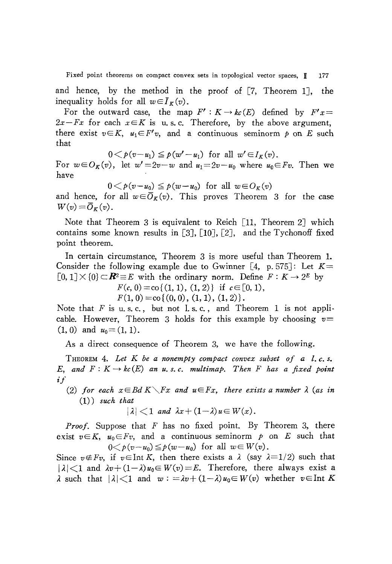Fixed point theorems on compact convex sets in topological vector spaces,  $\mathbb{H}$  177

and hence, by the method in the proof of  $[7,$  Theorem 1], the inequality holds for all  $w \in \overline{I}_K(v)$ .

For the outward case, the map  $F': K \to kc(E)$  defined by  $F'x=$  $2x-Fx$  for each  $x \in K$  is u.s.c. Therefore, by the above argument, there exist  $v \in K$ ,  $u_1 \in F'v$ , and a continuous seminorm p on E such that

$$
0 < p(v-u_1) \leq p(w'-u_1) \text{ for all } w' \in I_K(v).
$$

For  $w \in O_K(v)$ , let  $w' = 2v - w$  and  $u_1 = 2v - u_0$  where  $u_0 \in F_v$ . Then we have

$$
0 < p(v - u_0) \leq p(w - u_0) \text{ for all } w \in O_K(v)
$$

and hence, for all  $w \in \overline{O}_K(v)$ . This proves Theorem 3 for the case  $W(v) = \overline{O}_K(v)$ .

Note that Theorem 3 is equivalent to Reich [11, Theorem 2J which contains some known results in  $[3]$ ,  $[10]$ ,  $[2]$ , and the Tychonoff fixed point theorem.

In certain circumstance, Theorem 3 is more useful than Theorem l. Consider the following example due to Gwinner  $[4, p. 575]$ : Let  $K =$  $[0, 1] \times \{0\} \subset \mathbb{R}^2 \equiv E$  with the ordinary norm. Define  $F: K \to 2^E$  by

 $F(c, 0) = \text{co} \{(1, 1), (1, 2)\}$  if  $c \in [0, 1)$ ,

 $F(1, 0) = \text{co}\{(0, 0), (1, 1), (1, 2)\}.$ 

Note that  $F$  is u.s.c., but not l.s.c., and Theorem 1 is not applicable. However, Theorem 3 holds for this example by choosing *v=*  $(1,0)$  and  $u_0=(1,1)$ .

As a direct consequence of Theorem 3, we have the following.

THEOREM 4. Let K be a nonempty compact convex subset of a l.c.s. *E*, and  $F: K \to kc(E)$  an  $u, s, c$ . *multimap*. Then  $F$  has a fixed point if

*(2) for each*  $x \in B$ *d*  $K \setminus Fx$  *and*  $u \in Fx$ , *there exists a number*  $\lambda$  *(as in* (1)) *such that*

$$
|\lambda| < 1 \text{ and } \lambda x + (1-\lambda) u \in W(x).
$$

*Proof.* Suppose that *F* has no fixed point. By Theorem 3, there exist  $v \in K$ ,  $u_0 \in F_v$ , and a continuous seminorm  $p$  on  $E$  such that  $0 < p(v-u_0) \leq p(w-u_0)$  for all  $w \in W(v)$ .

Since  $v \notin F_v$ , if  $v \in \text{Int } K$ , then there exists a  $\lambda$  (say  $\lambda = 1/2$ ) such that  $|\lambda|$ <1 and  $\lambda v+(1-\lambda)u_0\in W(v)=E$ . Therefore, there always exist a  $\lambda$  such that  $|\lambda|$  < 1 and  $w := \lambda v + (1 - \lambda)u_0 \in W(v)$  whether  $v \in$  Int K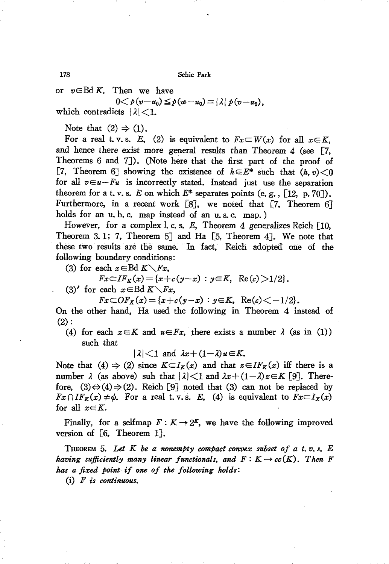or  $v \in Bd K$ . Then we have

 $0 < p(v-u_0) \leq p(w-u_0) = |\lambda| p(v-u_0)$ . which contradicts  $|\lambda|$  < 1.

Note that  $(2) \Rightarrow (1)$ .

For a real t.v.s. E, (2) is equivalent to  $Fx\subset W(x)$  for all  $x\in K$ , and hence there exist more general results than Theorem 4 (see [7, Theorems 6 and 7]). (Note here that the first part of the proof of [7, Theorem 6] showing the existence of  $h \in E^*$  such that  $(h, v) < 0$ for all  $v \in u - Fu$  is incorrectly stated. Instead just use the separation theorem for a t. v. s. E on which  $E^*$  separates points (e. g., [12, p. 70]). Furthermore, in a recent work [8], we noted that [7, Theorem 6] holds for an u, h, c, map instead of an u, s, c, map, )

However, for a complex l.c.s. E. Theorem 4 generalizes Reich  $\lceil 10 \rceil$ . Theorem 3.1; 7, Theorem 5] and Ha [5, Theorem 4]. We note that these two results are the same. In fact, Reich adopted one of the following boundary conditions:

(3) for each  $x \in Bd K \setminus Fx$ ,

$$
Fx \subset I F_K(x) = \{x + c(y - x) : y \in K, \ \text{Re}(c) > 1/2\}.
$$

(3)' for each  $x \in Bd K \setminus Fx$ ,

 $Fx \subset OF_K(x) = \{x+c(y-x) : y \in K, \operatorname{Re}(c) \leq -1/2\}.$ 

On the other hand, Ha used the following in Theorem 4 instead of  $(2):$ 

(4) for each  $x \in K$  and  $u \in Fx$ , there exists a number  $\lambda$  (as in (1)) such that

 $|\lambda|$  < 1 and  $\lambda x + (1-\lambda)u \in K$ .

Note that (4)  $\Rightarrow$  (2) since  $K\subset I_K(x)$  and that  $z\in I_{K}(x)$  iff there is a number  $\lambda$  (as above) suh that  $|\lambda|$  < 1 and  $\lambda x + (1-\lambda)z \in K$  [9]. Therefore,  $(3) \Leftrightarrow (4) \Rightarrow (2)$ . Reich [9] noted that (3) can not be replaced by  $Fx \cap IF_K(x) \neq \phi$ . For a real t.v.s. E, (4) is equivalent to  $Fx \subset I_X(x)$ for all  $x \in K$ .

Finally, for a selfmap  $F: K \to 2^K$ , we have the following improved version of  $\lceil 6, \rceil$  Theorem 1.

THEOREM 5. Let K be a nonempty compact convex subset of a t.v.s.  $E$ having sufficiently many linear functionals, and  $F: K \to cc(K)$ . Then F has a fixed point if one of the following holds:

 $(i)$  *F* is continuous.

178